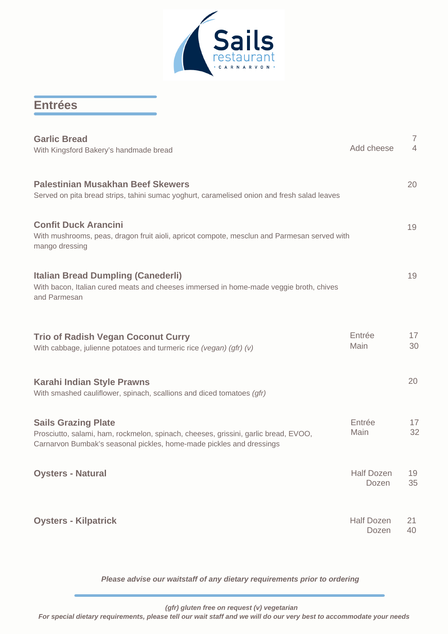

## **Entrées**

| <b>Garlic Bread</b><br>With Kingsford Bakery's handmade bread                                                                                                                             | Add cheese                 | $\overline{7}$<br>$\overline{4}$ |
|-------------------------------------------------------------------------------------------------------------------------------------------------------------------------------------------|----------------------------|----------------------------------|
| <b>Palestinian Musakhan Beef Skewers</b><br>Served on pita bread strips, tahini sumac yoghurt, caramelised onion and fresh salad leaves                                                   |                            | 20                               |
| <b>Confit Duck Arancini</b><br>With mushrooms, peas, dragon fruit aioli, apricot compote, mesclun and Parmesan served with<br>mango dressing                                              |                            | 19                               |
| <b>Italian Bread Dumpling (Canederli)</b><br>With bacon, Italian cured meats and cheeses immersed in home-made veggie broth, chives<br>and Parmesan                                       |                            | 19                               |
| <b>Trio of Radish Vegan Coconut Curry</b><br>With cabbage, julienne potatoes and turmeric rice (vegan) (gfr) (v)                                                                          | Entrée<br>Main             | 17<br>30                         |
| <b>Karahi Indian Style Prawns</b><br>With smashed cauliflower, spinach, scallions and diced tomatoes (gfr)                                                                                |                            | 20                               |
| <b>Sails Grazing Plate</b><br>Prosciutto, salami, ham, rockmelon, spinach, cheeses, grissini, garlic bread, EVOO,<br>Carnarvon Bumbak's seasonal pickles, home-made pickles and dressings | Entrée<br>Main             | 17<br>32                         |
| <b>Oysters - Natural</b>                                                                                                                                                                  | Half Dozen<br>Dozen        | 19<br>35                         |
| <b>Oysters - Kilpatrick</b>                                                                                                                                                               | <b>Half Dozen</b><br>Dozen | 21<br>40                         |

*Please advise our waitstaff of any dietary requirements prior to ordering*

 *(gfr) gluten free on request (v) vegetarian*

*For special dietary requirements, please tell our wait staff and we will do our very best to accommodate your needs*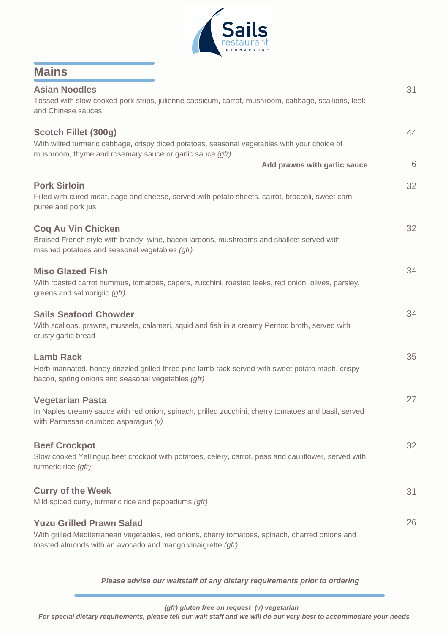

| <b>Mains</b>                                                                                                                                                                                      |    |
|---------------------------------------------------------------------------------------------------------------------------------------------------------------------------------------------------|----|
| <b>Asian Noodles</b><br>Tossed with slow cooked pork strips, julienne capsicum, carrot, mushroom, cabbage, scallions, leek<br>and Chinese sauces                                                  | 31 |
| Scotch Fillet (300g)<br>With wilted turmeric cabbage, crispy diced potatoes, seasonal vegetables with your choice of<br>mushroom, thyme and rosemary sauce or garlic sauce (gfr)                  | 44 |
| Add prawns with garlic sauce                                                                                                                                                                      | 6  |
| <b>Pork Sirloin</b><br>Filled with cured meat, sage and cheese, served with potato sheets, carrot, broccoli, sweet corn<br>puree and pork jus                                                     | 32 |
| <b>Coq Au Vin Chicken</b><br>Braised French style with brandy, wine, bacon lardons, mushrooms and shallots served with<br>mashed potatoes and seasonal vegetables (gfr)                           | 32 |
| <b>Miso Glazed Fish</b><br>With roasted carrot hummus, tomatoes, capers, zucchini, roasted leeks, red onion, olives, parsley,<br>greens and salmoriglio (gfr)                                     | 34 |
| <b>Sails Seafood Chowder</b><br>With scallops, prawns, mussels, calamari, squid and fish in a creamy Pernod broth, served with<br>crusty garlic bread                                             | 34 |
| <b>Lamb Rack</b><br>Herb marinated, honey drizzled grilled three pins lamb rack served with sweet potato mash, crispy<br>bacon, spring onions and seasonal vegetables (gfr)                       | 35 |
| <b>Vegetarian Pasta</b><br>In Naples creamy sauce with red onion, spinach, grilled zucchini, cherry tomatoes and basil, served<br>with Parmesan crumbed asparagus (v)                             | 27 |
| <b>Beef Crockpot</b><br>Slow cooked Yallingup beef crockpot with potatoes, celery, carrot, peas and cauliflower, served with<br>turmeric rice (gfr)                                               | 32 |
| <b>Curry of the Week</b><br>Mild spiced curry, turmeric rice and pappadums (gfr)                                                                                                                  | 31 |
| <b>Yuzu Grilled Prawn Salad</b><br>With grilled Mediterranean vegetables, red onions, cherry tomatoes, spinach, charred onions and<br>toasted almonds with an avocado and mango vinaigrette (gfr) | 26 |

*Please advise our waitstaff of any dietary requirements prior to ordering*

 *(gfr) gluten free on request (v) vegetarian*

*For special dietary requirements, please tell our wait staff and we will do our very best to accommodate your needs*